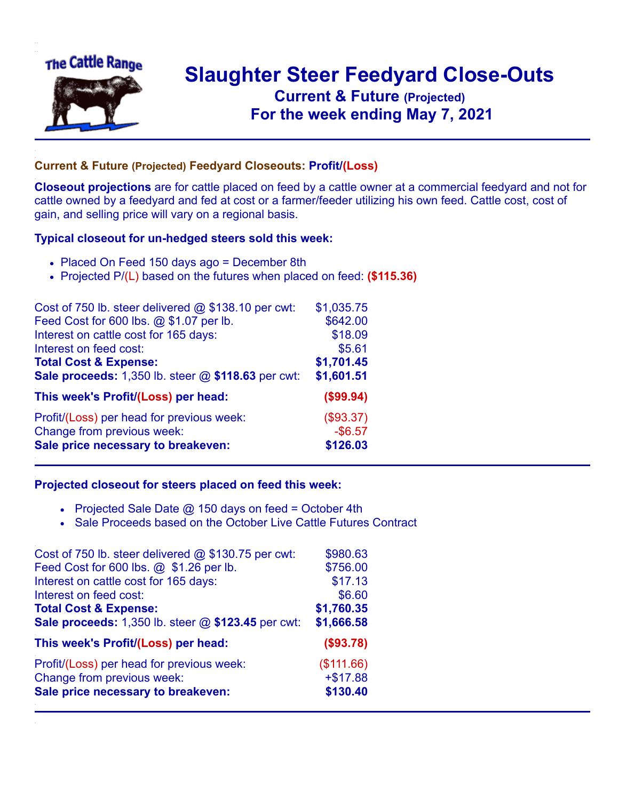

## **Slaughter Steer Feedyard Close-Outs Current & Future (Projected)** .**For the week ending May 7, 2021**

## **Current & Future (Projected) Feedyard Closeouts: Profit/(Loss)**

**Closeout projections** are for cattle placed on feed by a cattle owner at a commercial feedyard and not for cattle owned by a feedyard and fed at cost or a farmer/feeder utilizing his own feed. Cattle cost, cost of gain, and selling price will vary on a regional basis.

## **Typical closeout for un-hedged steers sold this week:**

- Placed On Feed 150 days ago = December 8th
- Projected P/(L) based on the futures when placed on feed: **(\$115.36)**

| Cost of 750 lb. steer delivered $@$ \$138.10 per cwt: | \$1,035.75 |
|-------------------------------------------------------|------------|
| Feed Cost for 600 lbs. @ \$1.07 per lb.               | \$642.00   |
| Interest on cattle cost for 165 days:                 | \$18.09    |
| Interest on feed cost:                                | \$5.61     |
| <b>Total Cost &amp; Expense:</b>                      | \$1,701.45 |
| Sale proceeds: 1,350 lb. steer @ \$118.63 per cwt:    | \$1,601.51 |
| This week's Profit/(Loss) per head:                   | (\$99.94)  |
| Profit/(Loss) per head for previous week:             | (\$93.37)  |
| Change from previous week:                            | $-$6.57$   |
| Sale price necessary to breakeven:                    | \$126.03   |

## **Projected closeout for steers placed on feed this week:**

- Projected Sale Date  $@$  150 days on feed = October 4th
- Sale Proceeds based on the October Live Cattle Futures Contract

| \$980.63   |
|------------|
| \$756.00   |
| \$17.13    |
| \$6.60     |
| \$1,760.35 |
| \$1,666.58 |
| (\$93.78)  |
| (\$111.66) |
| $+ $17.88$ |
| \$130.40   |
|            |